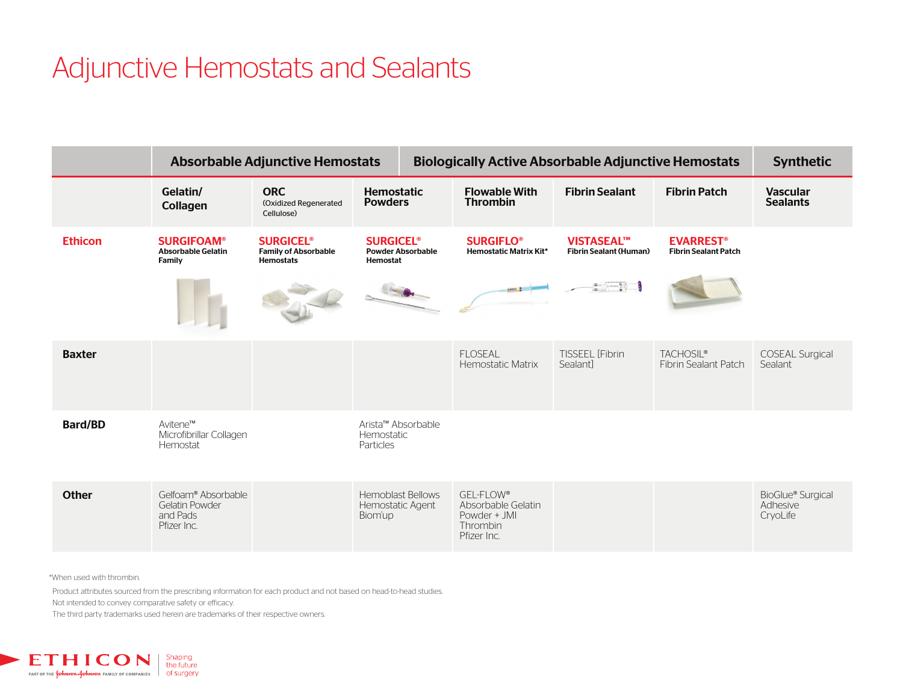# Adjunctive Hemostats and Sealants

|                |                                                                         | <b>Absorbable Adjunctive Hemostats</b>                                         |                                                                     | <b>Biologically Active Absorbable Adjunctive Hemostats</b> |                                                                            |                                                    |                                                            | <b>Synthetic</b>                          |
|----------------|-------------------------------------------------------------------------|--------------------------------------------------------------------------------|---------------------------------------------------------------------|------------------------------------------------------------|----------------------------------------------------------------------------|----------------------------------------------------|------------------------------------------------------------|-------------------------------------------|
|                | Gelatin/<br>Collagen                                                    | <b>ORC</b><br>(Oxidized Regenerated<br>Cellulose)                              | <b>Hemostatic</b><br><b>Powders</b>                                 |                                                            | <b>Flowable With</b><br><b>Thrombin</b>                                    | <b>Fibrin Sealant</b>                              | <b>Fibrin Patch</b>                                        | <b>Vascular</b><br><b>Sealants</b>        |
| <b>Ethicon</b> | <b>SURGIFOAM®</b><br><b>Absorbable Gelatin</b><br>Family                | <b>SURGICEL<sup>®</sup></b><br><b>Family of Absorbable</b><br><b>Hemostats</b> | <b>SURGICEL<sup>®</sup></b><br><b>Powder Absorbable</b><br>Hemostat |                                                            | <b>SURGIFLO®</b><br><b>Hemostatic Matrix Kit*</b>                          | <b>VISTASEAL™</b><br><b>Fibrin Sealant (Human)</b> | <b>EVARREST<sup>®</sup></b><br><b>Fibrin Sealant Patch</b> |                                           |
|                |                                                                         |                                                                                |                                                                     |                                                            |                                                                            | $\blacksquare$                                     |                                                            |                                           |
| <b>Baxter</b>  |                                                                         |                                                                                |                                                                     |                                                            | <b>FLOSEAL</b><br>Hemostatic Matrix                                        | <b>TISSEEL [Fibrin</b><br>Sealant1                 | <b>TACHOSIL®</b><br><b>Fibrin Sealant Patch</b>            | <b>COSEAL Surgical</b><br>Sealant         |
| <b>Bard/BD</b> | Avitene™<br>Microfibrillar Collagen<br>Hemostat                         |                                                                                | Arista™ Absorbable<br>Hemostatic<br>Particles                       |                                                            |                                                                            |                                                    |                                                            |                                           |
| <b>Other</b>   | Gelfoam® Absorbable<br><b>Gelatin Powder</b><br>and Pads<br>Pfizer Inc. |                                                                                | <b>Hemoblast Bellows</b><br>Hemostatic Agent<br>Biom'up             |                                                            | GEL-FLOW®<br>Absorbable Gelatin<br>Powder + JMI<br>Thrombin<br>Pfizer Inc. |                                                    |                                                            | BioGlue® Surgical<br>Adhesive<br>CryoLife |

\*When used with thrombin.

Product attributes sourced from the prescribing information for each product and not based on head-to-head studies.

Not intended to convey comparative safety or efficacy.

The third party trademarks used herein are trademarks of their respective owners.

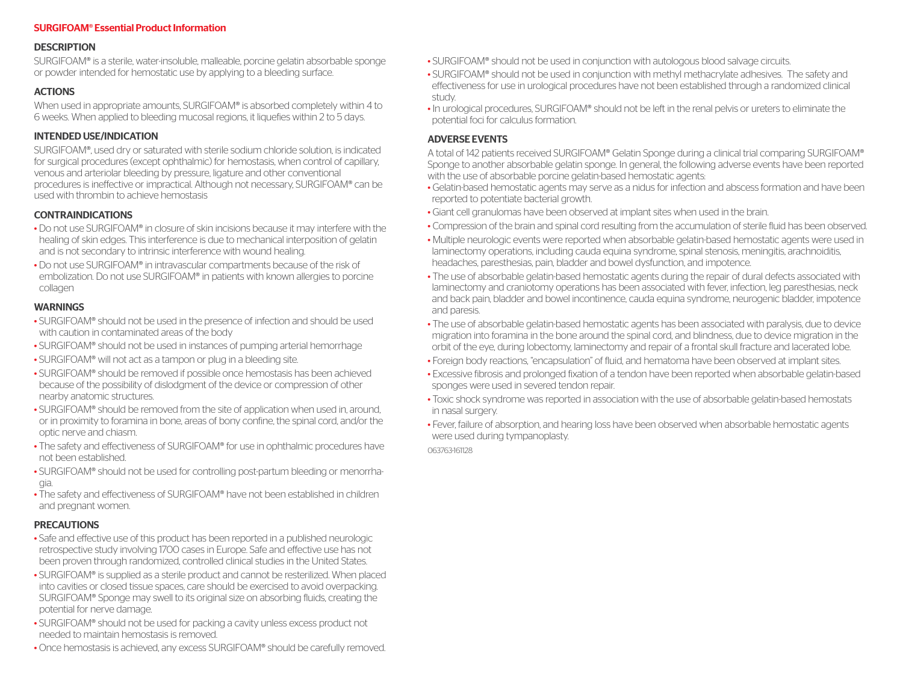#### SURGIFOAM® Essential Product Information

#### **DESCRIPTION**

SURGIFOAM® is a sterile, water-insoluble, malleable, porcine gelatin absorbable sponge or powder intended for hemostatic use by applying to a bleeding surface.

## ACTIONS

When used in appropriate amounts, SURGIFOAM® is absorbed completely within 4 to 6 weeks. When applied to bleeding mucosal regions, it liquefies within 2 to 5 days.

## INTENDED USE/INDICATION

SURGIFOAM®, used dry or saturated with sterile sodium chloride solution, is indicated for surgical procedures (except ophthalmic) for hemostasis, when control of capillary, venous and arteriolar bleeding by pressure, ligature and other conventional procedures is ineffective or impractical. Although not necessary, SURGIFOAM® can be used with thrombin to achieve hemostasis

## CONTRAINDICATIONS

- Do not use SURGIFOAM® in closure of skin incisions because it may interfere with the healing of skin edges. This interference is due to mechanical interposition of gelatin and is not secondary to intrinsic interference with wound healing.
- Do not use SURGIFOAM® in intravascular compartments because of the risk of embolization. Do not use SURGIFOAM® in patients with known allergies to porcine collagen

## WARNINGS

- SURGIFOAM® should not be used in the presence of infection and should be used with caution in contaminated areas of the body
- SURGIFOAM® should not be used in instances of pumping arterial hemorrhage
- SURGIFOAM® will not act as a tampon or plug in a bleeding site.
- SURGIFOAM® should be removed if possible once hemostasis has been achieved because of the possibility of dislodgment of the device or compression of other nearby anatomic structures.
- SURGIFOAM® should be removed from the site of application when used in, around, or in proximity to foramina in bone, areas of bony confine, the spinal cord, and/or the optic nerve and chiasm.
- The safety and effectiveness of SURGIFOAM® for use in ophthalmic procedures have not been established.
- SURGIFOAM® should not be used for controlling post-partum bleeding or menorrhagia.
- The safety and effectiveness of SURGIFOAM® have not been established in children and pregnant women.

## PRECAUTIONS

- Safe and effective use of this product has been reported in a published neurologic retrospective study involving 1700 cases in Europe. Safe and effective use has not been proven through randomized, controlled clinical studies in the United States.
- SURGIFOAM® is supplied as a sterile product and cannot be resterilized. When placed into cavities or closed tissue spaces, care should be exercised to avoid overpacking. SURGIFOAM® Sponge may swell to its original size on absorbing fluids, creating the potential for nerve damage.
- SURGIFOAM® should not be used for packing a cavity unless excess product not needed to maintain hemostasis is removed.
- Once hemostasis is achieved, any excess SURGIFOAM® should be carefully removed.
- SURGIFOAM® should not be used in conjunction with autologous blood salvage circuits.
- SURGIFOAM® should not be used in conjunction with methyl methacrylate adhesives. The safety and effectiveness for use in urological procedures have not been established through a randomized clinical study.
- In urological procedures, SURGIFOAM® should not be left in the renal pelvis or ureters to eliminate the potential foci for calculus formation.

## ADVERSE EVENTS

A total of 142 patients received SURGIFOAM® Gelatin Sponge during a clinical trial comparing SURGIFOAM® Sponge to another absorbable gelatin sponge. In general, the following adverse events have been reported with the use of absorbable porcine gelatin-based hemostatic agents:

- Gelatin-based hemostatic agents may serve as a nidus for infection and abscess formation and have been reported to potentiate bacterial growth.
- Giant cell granulomas have been observed at implant sites when used in the brain.
- Compression of the brain and spinal cord resulting from the accumulation of sterile fluid has been observed.
- Multiple neurologic events were reported when absorbable gelatin-based hemostatic agents were used in laminectomy operations, including cauda equina syndrome, spinal stenosis, meningitis, arachnoiditis, headaches, paresthesias, pain, bladder and bowel dysfunction, and impotence.
- The use of absorbable gelatin-based hemostatic agents during the repair of dural defects associated with laminectomy and craniotomy operations has been associated with fever, infection, leg paresthesias, neck and back pain, bladder and bowel incontinence, cauda equina syndrome, neurogenic bladder, impotence and paresis.
- The use of absorbable gelatin-based hemostatic agents has been associated with paralysis, due to device migration into foramina in the bone around the spinal cord, and blindness, due to device migration in the orbit of the eye, during lobectomy, laminectomy and repair of a frontal skull fracture and lacerated lobe.
- Foreign body reactions, "encapsulation" of fluid, and hematoma have been observed at implant sites.
- Excessive fibrosis and prolonged fixation of a tendon have been reported when absorbable gelatin-based sponges were used in severed tendon repair.
- Toxic shock syndrome was reported in association with the use of absorbable gelatin-based hemostats in nasal surgery.
- Fever, failure of absorption, and hearing loss have been observed when absorbable hemostatic agents were used during tympanoplasty.

063763-161128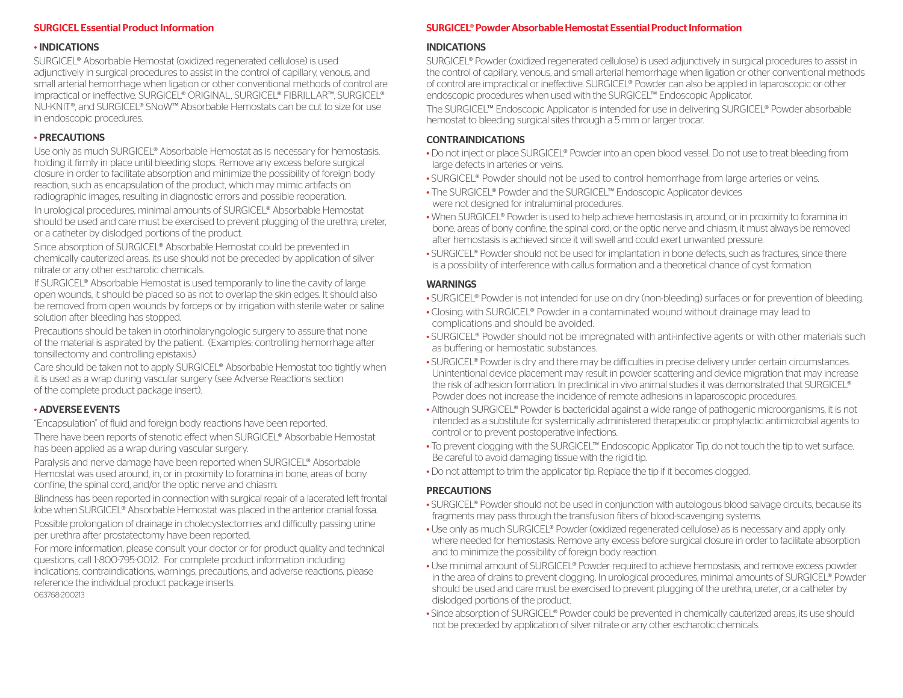#### SURGICEL Essential Product Information

#### • INDICATIONS

SURGICEL® Absorbable Hemostat (oxidized regenerated cellulose) is used adjunctively in surgical procedures to assist in the control of capillary, venous, and small arterial hemorrhage when ligation or other conventional methods of control are impractical or ineffective. SURGICEL® ORIGINAL, SURGICEL® FIBRIL LAR™, SURGICEL® NU-KNIT®, and SURGICEL® SNoW™ Absorbable Hemostats can be cut to size for use in endoscopic procedures.

### • PRECAUTIONS

Use only as much SURGICEL® Absorbable Hemostat as is necessary for hemostasis, holding it firmly in place until bleeding stops. Remove any excess before surgical closure in order to facilitate absorption and minimize the possibility of foreign body reaction, such as encapsulation of the product, which may mimic artifacts on radiographic images, resulting in diagnostic errors and possible reoperation. In urological procedures, minimal amounts of SURGICEL® Absorbable Hemostat should be used and care must be exercised to prevent plugging of the urethra, ureter,

or a catheter by dislodged portions of the product. Since absorption of SURGICEL® Absorbable Hemostat could be prevented in chemically cauterized areas, its use should not be preceded by application of silver nitrate or any other escharotic chemicals.

If SURGICEL® Absorbable Hemostat is used temporarily to line the cavity of large open wounds, it should be placed so as not to overlap the skin edges. It should also be removed from open wounds by forceps or by irrigation with sterile water or saline solution after bleeding has stopped.

Precautions should be taken in otorhinolaryngologic surgery to assure that none of the material is aspirated by the patient. (Examples: controlling hemorrhage after tonsillectomy and controlling epistaxis.)

Care should be taken not to apply SURGICEL® Absorbable Hemostat too tightly when it is used as a wrap during vascular surgery (see Adverse Reactions section of the complete product package insert).

## • ADVERSE EVENTS

"Encapsulation" of fluid and foreign body reactions have been reported. There have been reports of stenotic effect when SURGICEL® Absorbable Hemostat has been applied as a wrap during vascular surgery.

Paralysis and nerve damage have been reported when SURGICEL® Absorbable Hemostat was used around, in, or in proximity to foramina in bone, areas of bony confine, the spinal cord, and/or the optic nerve and chiasm.

Blindness has been reported in connection with surgical repair of a lacerated left frontal lobe when SURGICEL® Absorbable Hemostat was placed in the anterior cranial fossa.

Possible prolongation of drainage in cholecystectomies and difficulty passing urine per urethra after prostatectomy have been reported.

For more information, please consult your doctor or for product quality and technical questions, call 1-800-795-0012. For complete product information including indications, contraindications, warnings, precautions, and adverse reactions, please reference the individual product package inserts. 063768-200213

# SURGICEL® Powder Absorbable Hemostat Essential Product Information

#### INDICATIONS

SURGICEL® Powder (oxidized regenerated cellulose) is used adjunctively in surgical procedures to assist in the control of capillary, venous, and small arterial hemorrhage when ligation or other conventional methods of control are impractical or ineffective. SURGICEL® Powder can also be applied in laparoscopic or other endoscopic procedures when used with the SURGICEL™ Endoscopic Applicator.

The SURGICEL™ Endoscopic Applicator is intended for use in delivering SURGICEL® Powder absorbable hemostat to bleeding surgical sites through a 5 mm or larger trocar.

### **CONTRAINDICATIONS**

- Do not inject or place SURGICEL® Powder into an open blood vessel. Do not use to treat bleeding from large defects in arteries or veins.
- SURGICEL® Powder should not be used to control hemorrhage from large arteries or veins.
- The SURGICEL® Powder and the SURGICEL™ Endoscopic Applicator devices were not designed for intraluminal procedures.
- When SURGICEL® Powder is used to help achieve hemostasis in, around, or in proximity to foramina in bone, areas of bony confine, the spinal cord, or the optic nerve and chiasm, it must always be removed after hemostasis is achieved since it will swell and could exert unwanted pressure.
- SURGICEL® Powder should not be used for implantation in bone defects, such as fractures, since there is a possibility of interference with callus formation and a theoretical chance of cyst formation.

### WARNINGS

- SURGICEL® Powder is not intended for use on dry (non-bleeding) surfaces or for prevention of bleeding.
- Closing with SURGICEL® Powder in a contaminated wound without drainage may lead to complications and should be avoided.
- SURGICEL® Powder should not be impregnated with anti-infective agents or with other materials such as buffering or hemostatic substances.
- SURGICEL® Powder is dry and there may be difficulties in precise delivery under certain circumstances. Unintentional device placement may result in powder scattering and device migration that may increase the risk of adhesion formation. In preclinical in vivo animal studies it was demonstrated that SURGICEL® Powder does not increase the incidence of remote adhesions in laparoscopic procedures.
- Although SURGICEL® Powder is bactericidal against a wide range of pathogenic microorganisms, it is not intended as a substitute for systemically administered therapeutic or prophylactic antimicrobial agents to control or to prevent postoperative infections.
- To prevent clogging with the SURGICEL™ Endoscopic Applicator Tip, do not touch the tip to wet surface. Be careful to avoid damaging tissue with the rigid tip.
- Do not attempt to trim the applicator tip. Replace the tip if it becomes clogged.

## **PRECAUTIONS**

- SURGICEL® Powder should not be used in conjunction with autologous blood salvage circuits, because its fragments may pass through the transfusion filters of blood-scavenging systems.
- Use only as much SURGICEL® Powder (oxidized regenerated cellulose) as is necessary and apply only where needed for hemostasis. Remove any excess before surgical closure in order to facilitate absorption and to minimize the possibility of foreign body reaction.
- Use minimal amount of SURGICEL® Powder required to achieve hemostasis, and remove excess powder in the area of drains to prevent clogging. In urological procedures, minimal amounts of SURGICEL® Powder should be used and care must be exercised to prevent plugging of the urethra, ureter, or a catheter by dislodged portions of the product.
- Since absorption of SURGICEL® Powder could be prevented in chemically cauterized areas, its use should not be preceded by application of silver nitrate or any other escharotic chemicals.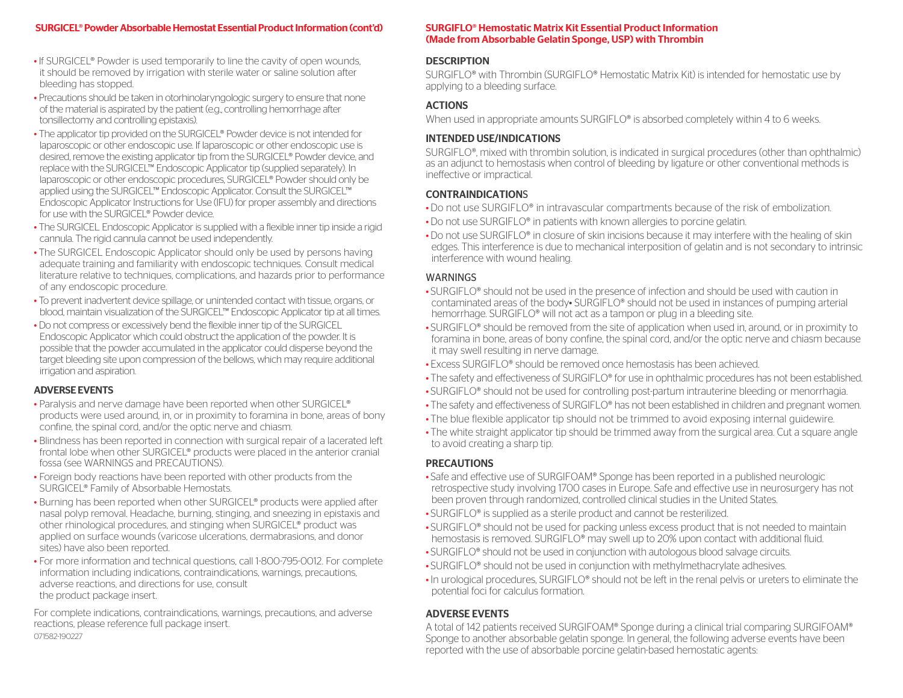#### SURGICEL® Powder Absorbable Hemostat Essential Product Information (cont'd)

- If SURGICEL® Powder is used temporarily to line the cavity of open wounds, it should be removed by irrigation with sterile water or saline solution after bleeding has stopped.
- Precautions should be taken in otorhinolaryngologic surgery to ensure that none of the material is aspirated by the patient (e.g., controlling hemorrhage after tonsillectomy and controlling epistaxis).
- The applicator tip provided on the SURGICEL® Powder device is not intended for laparoscopic or other endoscopic use. If laparoscopic or other endoscopic use is desired, remove the existing applicator tip from the SURGICEL® Powder device, and replace with the SURGICEL™ Endoscopic Applicator tip (supplied separately). In laparoscopic or other endoscopic procedures, SURGICEL® Powder should only be applied using the SURGICEL™ Endoscopic Applicator. Consult the SURGICEL™ Endoscopic Applicator Instructions for Use (IFU) for proper assembly and directions for use with the SURGICEL® Powder device.
- The SURGICEL Endoscopic Applicator is supplied with a flexible inner tip inside a rigid cannula. The rigid cannula cannot be used independently.
- The SURGICEL Endoscopic Applicator should only be used by persons having adequate training and familiarity with endoscopic techniques. Consult medical literature relative to techniques, complications, and hazards prior to performance of any endoscopic procedure.
- To prevent inadvertent device spillage, or unintended contact with tissue, organs, or blood, maintain visualization of the SURGICEL™ Endoscopic Applicator tip at all times.
- Do not compress or excessively bend the flexible inner tip of the SURGICEL Endoscopic Applicator which could obstruct the application of the powder. It is possible that the powder accumulated in the applicator could disperse beyond the target bleeding site upon compression of the bellows, which may require additional irrigation and aspiration.

#### ADVERSE EVENTS

- Paralysis and nerve damage have been reported when other SURGICEL® products were used around, in, or in proximity to foramina in bone, areas of bony confine, the spinal cord, and/or the optic nerve and chiasm.
- Blindness has been reported in connection with surgical repair of a lacerated left frontal lobe when other SURGICEL® products were placed in the anterior cranial fossa (see WARNINGS and PRECAUTIONS).
- Foreign body reactions have been reported with other products from the SURGICEL® Family of Absorbable Hemostats.
- Burning has been reported when other SURGICEL® products were applied after nasal polyp removal. Headache, burning, stinging, and sneezing in epistaxis and other rhinological procedures, and stinging when SURGICEL® product was applied on surface wounds (varicose ulcerations, dermabrasions, and donor sites) have also been reported.
- For more information and technical questions, call 1-800-795-0012. For complete information including indications, contraindications, warnings, precautions, adverse reactions, and directions for use, consult the product package insert.

For complete indications, contraindications, warnings, precautions, and adverse reactions, please reference full package insert. 071582-190227

#### SURGIFLO® Hemostatic Matrix Kit Essential Product Information (Made from Absorbable Gelatin Sponge, USP) with Thrombin

## **DESCRIPTION**

SURGIFLO® with Thrombin (SURGIFLO® Hemostatic Matrix Kit) is intended for hemostatic use by applying to a bleeding surface.

## ACTIONS

When used in appropriate amounts SURGIFLO<sup>®</sup> is absorbed completely within 4 to 6 weeks.

#### INTENDED USE/INDICATIONS

SURGIFLO®, mixed with thrombin solution, is indicated in surgical procedures (other than ophthalmic) as an adjunct to hemostasis when control of bleeding by ligature or other conventional methods is ineffective or impractical.

#### CONTRAINDICATIONS

- Do not use SURGIFLO® in intravascular compartments because of the risk of embolization.
- Do not use SURGIFLO® in patients with known allergies to porcine gelatin.
- Do not use SURGIFLO® in closure of skin incisions because it may interfere with the healing of skin edges. This interference is due to mechanical interposition of gelatin and is not secondary to intrinsic interference with wound healing.

### WARNINGS

- SURGIFLO® should not be used in the presence of infection and should be used with caution in contaminated areas of the body• SURGIFLO® should not be used in instances of pumping arterial hemorrhage. SURGIFLO® will not act as a tampon or plug in a bleeding site.
- SURGIFLO® should be removed from the site of application when used in, around, or in proximity to foramina in bone, areas of bony confine, the spinal cord, and/or the optic nerve and chiasm because it may swell resulting in nerve damage.
- Excess SURGIFLO® should be removed once hemostasis has been achieved.
- The safety and effectiveness of SURGIFLO® for use in ophthalmic procedures has not been established.
- SURGIFLO® should not be used for controlling post-partum intrauterine bleeding or menorrhagia.
- The safety and effectiveness of SURGIFLO® has not been established in children and pregnant women.
- The blue flexible applicator tip should not be trimmed to avoid exposing internal guidewire.
- The white straight applicator tip should be trimmed away from the surgical area. Cut a square angle to avoid creating a sharp tip.

### PRECAUTIONS

- Safe and effective use of SURGIFOAM® Sponge has been reported in a published neurologic retrospective study involving 1700 cases in Europe. Safe and effective use in neurosurgery has not been proven through randomized, controlled clinical studies in the United States.
- SURGIFLO® is supplied as a sterile product and cannot be resterilized.
- SURGIFLO® should not be used for packing unless excess product that is not needed to maintain hemostasis is removed. SURGIFLO® may swell up to 20% upon contact with additional fluid.
- SURGIFLO® should not be used in conjunction with autologous blood salvage circuits.
- SURGIFLO® should not be used in conjunction with methylmethacrylate adhesives.
- In urological procedures, SURGIFLO® should not be left in the renal pelvis or ureters to eliminate the potential foci for calculus formation.

# ADVERSE EVENTS

A total of 142 patients received SURGIFOAM® Sponge during a clinical trial comparing SURGIFOAM® Sponge to another absorbable gelatin sponge. In general, the following adverse events have been reported with the use of absorbable porcine gelatin-based hemostatic agents: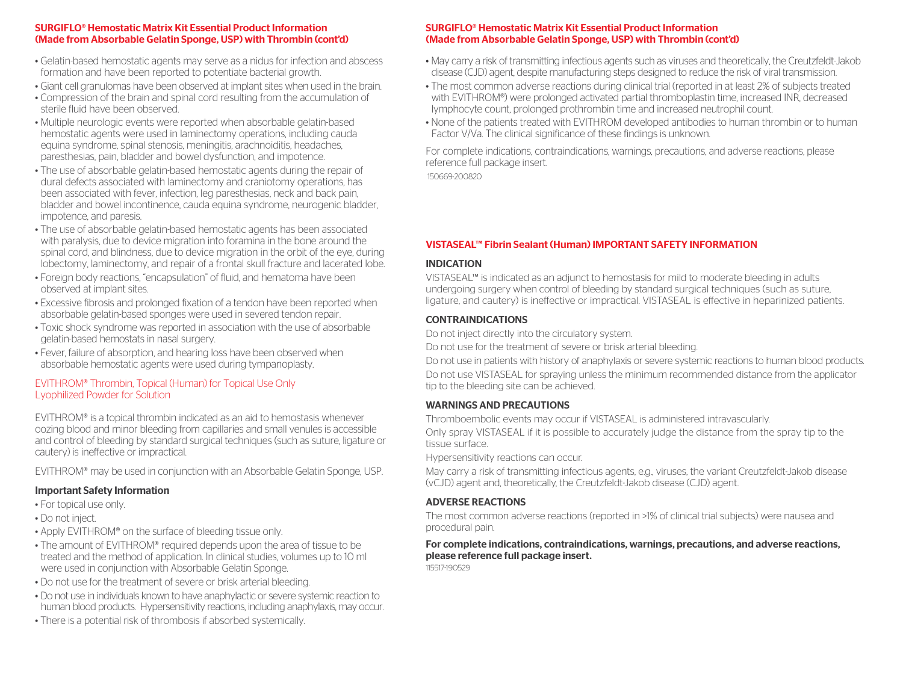#### SURGIFLO® Hemostatic Matrix Kit Essential Product Information (Made from Absorbable Gelatin Sponge, USP) with Thrombin (cont'd)

- Gelatin-based hemostatic agents may serve as a nidus for infection and abscess formation and have been reported to potentiate bacterial growth.
- Giant cell granulomas have been observed at implant sites when used in the brain.
- Compression of the brain and spinal cord resulting from the accumulation of sterile fluid have been observed.
- Multiple neurologic events were reported when absorbable gelatin-based hemostatic agents were used in laminectomy operations, including cauda equina syndrome, spinal stenosis, meningitis, arachnoiditis, headaches, paresthesias, pain, bladder and bowel dysfunction, and impotence.
- The use of absorbable gelatin-based hemostatic agents during the repair of dural defects associated with laminectomy and craniotomy operations, has been associated with fever, infection, leg paresthesias, neck and back pain, bladder and bowel incontinence, cauda equina syndrome, neurogenic bladder, impotence, and paresis.
- The use of absorbable gelatin-based hemostatic agents has been associated with paralysis, due to device migration into foramina in the bone around the spinal cord, and blindness, due to device migration in the orbit of the eye, during lobectomy, laminectomy, and repair of a frontal skull fracture and lacerated lobe.
- Foreign body reactions, "encapsulation" of fluid, and hematoma have been observed at implant sites.
- Excessive fibrosis and prolonged fixation of a tendon have been reported when absorbable gelatin-based sponges were used in severed tendon repair.
- Toxic shock syndrome was reported in association with the use of absorbable gelatin-based hemostats in nasal surgery.
- Fever, failure of absorption, and hearing loss have been observed when absorbable hemostatic agents were used during tympanoplasty.

## EVITHROM® Thrombin, Topical (Human) for Topical Use Only Lyophilized Powder for Solution

EVITHROM® is a topical thrombin indicated as an aid to hemostasis whenever oozing blood and minor bleeding from capillaries and small venules is accessible and control of bleeding by standard surgical techniques (such as suture, ligature or cautery) is ineffective or impractical.

EVITHROM® may be used in conjunction with an Absorbable Gelatin Sponge, USP.

## Important Safety Information

- For topical use only.
- Do not inject.
- Apply EVITHROM® on the surface of bleeding tissue only.
- The amount of EVITHROM® required depends upon the area of tissue to be treated and the method of application. In clinical studies, volumes up to 10 ml were used in conjunction with Absorbable Gelatin Sponge.
- Do not use for the treatment of severe or brisk arterial bleeding.
- Do not use in individuals known to have anaphylactic or severe systemic reaction to human blood products. Hypersensitivity reactions, including anaphylaxis, may occur.
- There is a potential risk of thrombosis if absorbed systemically.

#### SURGIFLO® Hemostatic Matrix Kit Essential Product Information (Made from Absorbable Gelatin Sponge, USP) with Thrombin (cont'd)

- May carry a risk of transmitting infectious agents such as viruses and theoretically, the Creutzfeldt-Jakob disease (CJD) agent, despite manufacturing steps designed to reduce the risk of viral transmission.
- The most common adverse reactions during clinical trial (reported in at least 2% of subjects treated with EVITHROM®) were prolonged activated partial thromboplastin time, increased INR, decreased lymphocyte count, prolonged prothrombin time and increased neutrophil count.
- None of the patients treated with EVITHROM developed antibodies to human thrombin or to human Factor V/Va. The clinical significance of these findings is unknown.

For complete indications, contraindications, warnings, precautions, and adverse reactions, please reference full package insert.

150669-200820

# VISTASEAL™ Fibrin Sealant (Human) IMPORTANT SAFETY INFORMATION

## INDICATION

VISTASEAL™ is indicated as an adjunct to hemostasis for mild to moderate bleeding in adults undergoing surgery when control of bleeding by standard surgical techniques (such as suture, ligature, and cautery) is ineffective or impractical. VISTASEAL is effective in heparinized patients.

## CONTRAINDICATIONS

Do not inject directly into the circulatory system.

Do not use for the treatment of severe or brisk arterial bleeding.

Do not use in patients with history of anaphylaxis or severe systemic reactions to human blood products. Do not use VISTASEAL for spraying unless the minimum recommended distance from the applicator tip to the bleeding site can be achieved.

## WARNINGS AND PRECAUTIONS

Thromboembolic events may occur if VISTASEAL is administered intravascularly.

Only spray VISTASEAL if it is possible to accurately judge the distance from the spray tip to the tissue surface.

Hypersensitivity reactions can occur.

May carry a risk of transmitting infectious agents, e.g., viruses, the variant Creutzfeldt-Jakob disease (vCJD) agent and, theoretically, the Creutzfeldt-Jakob disease (CJD) agent.

## ADVERSE REACTIONS

The most common adverse reactions (reported in >1% of clinical trial subjects) were nausea and procedural pain.

#### For complete indications, contraindications, warnings, precautions, and adverse reactions, please reference full package insert.

115517-190529